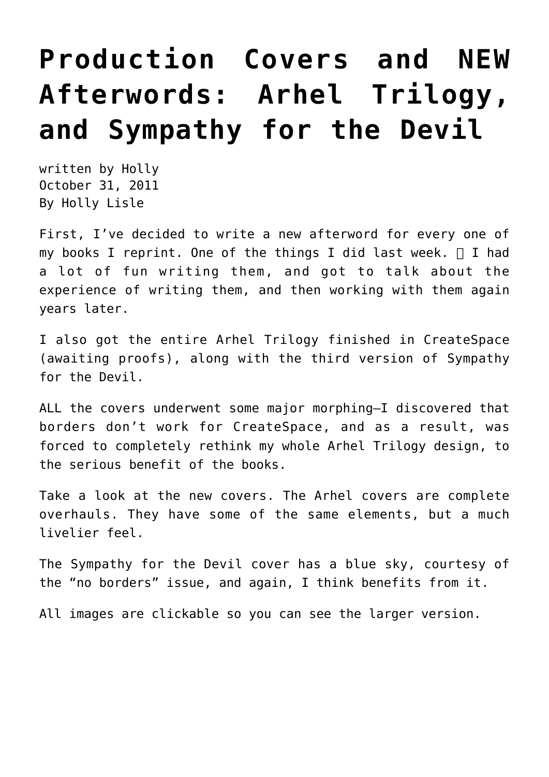## **[Production Covers and NEW](https://hollylisle.com/production-covers-new-afterwords/) [Afterwords: Arhel Trilogy,](https://hollylisle.com/production-covers-new-afterwords/) [and Sympathy for the Devil](https://hollylisle.com/production-covers-new-afterwords/)**

written by Holly October 31, 2011 [By Holly Lisle](https://hollylisle.com)

First, I've decided to write a new afterword for every one of my books I reprint. One of the things I did last week.  $\Box$  I had a lot of fun writing them, and got to talk about the experience of writing them, and then working with them again years later.

I also got the entire Arhel Trilogy finished in CreateSpace (awaiting proofs), along with the third version of Sympathy for the Devil.

ALL the covers underwent some major morphing—I discovered that borders don't work for CreateSpace, and as a result, was forced to completely rethink my whole Arhel Trilogy design, to the serious benefit of the books.

Take a look at the new covers. The Arhel covers are complete overhauls. They have some of the same elements, but a much livelier feel.

The Sympathy for the Devil cover has a blue sky, courtesy of the "no borders" issue, and again, I think benefits from it.

All images are clickable so you can see the larger version.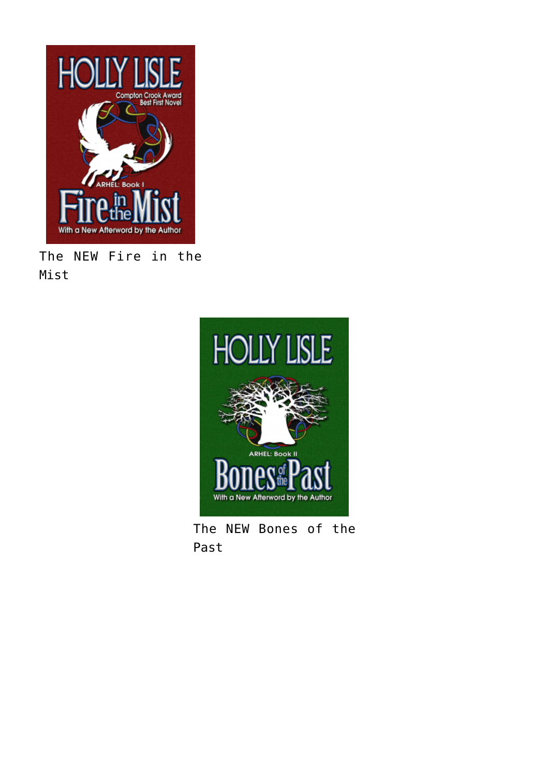

The NEW Fire in the Mist



The NEW Bones of the Past